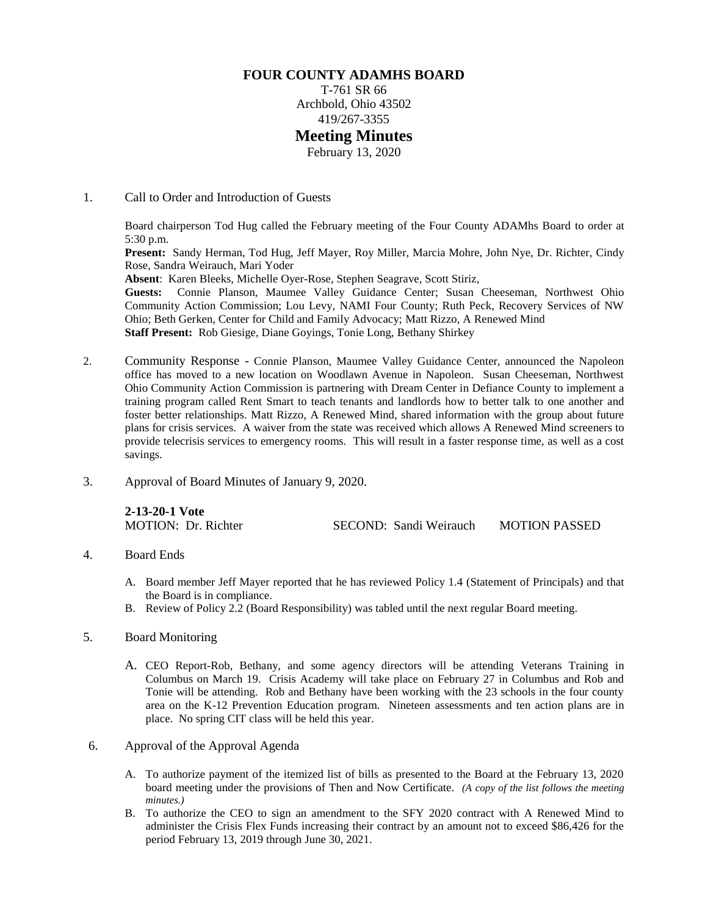## **FOUR COUNTY ADAMHS BOARD**

T-761 SR 66 Archbold, Ohio 43502 419/267-3355

## **Meeting Minutes**

February 13, 2020

1. Call to Order and Introduction of Guests

Board chairperson Tod Hug called the February meeting of the Four County ADAMhs Board to order at 5:30 p.m.

**Present:** Sandy Herman, Tod Hug, Jeff Mayer, Roy Miller, Marcia Mohre, John Nye, Dr. Richter, Cindy Rose, Sandra Weirauch, Mari Yoder

**Absent**: Karen Bleeks, Michelle Oyer-Rose, Stephen Seagrave, Scott Stiriz,

Guests: Connie Planson, Maumee Valley Guidance Center; Susan Cheeseman, Northwest Ohio Community Action Commission; Lou Levy, NAMI Four County; Ruth Peck, Recovery Services of NW Ohio; Beth Gerken, Center for Child and Family Advocacy; Matt Rizzo, A Renewed Mind **Staff Present:** Rob Giesige, Diane Goyings, Tonie Long, Bethany Shirkey

- 2. Community Response Connie Planson, Maumee Valley Guidance Center, announced the Napoleon office has moved to a new location on Woodlawn Avenue in Napoleon. Susan Cheeseman, Northwest Ohio Community Action Commission is partnering with Dream Center in Defiance County to implement a training program called Rent Smart to teach tenants and landlords how to better talk to one another and foster better relationships. Matt Rizzo, A Renewed Mind, shared information with the group about future plans for crisis services. A waiver from the state was received which allows A Renewed Mind screeners to provide telecrisis services to emergency rooms. This will result in a faster response time, as well as a cost savings.
- 3. Approval of Board Minutes of January 9, 2020.

| 2-13-20-1 Vote      |                        |                      |
|---------------------|------------------------|----------------------|
| MOTION: Dr. Richter | SECOND: Sandi Weirauch | <b>MOTION PASSED</b> |

### 4. Board Ends

- A. Board member Jeff Mayer reported that he has reviewed Policy 1.4 (Statement of Principals) and that the Board is in compliance.
- B. Review of Policy 2.2 (Board Responsibility) was tabled until the next regular Board meeting.

### 5. Board Monitoring

- A. CEO Report-Rob, Bethany, and some agency directors will be attending Veterans Training in Columbus on March 19. Crisis Academy will take place on February 27 in Columbus and Rob and Tonie will be attending. Rob and Bethany have been working with the 23 schools in the four county area on the K-12 Prevention Education program. Nineteen assessments and ten action plans are in place. No spring CIT class will be held this year.
- 6. Approval of the Approval Agenda
	- A. To authorize payment of the itemized list of bills as presented to the Board at the February 13, 2020 board meeting under the provisions of Then and Now Certificate. *(A copy of the list follows the meeting minutes.)*
	- B. To authorize the CEO to sign an amendment to the SFY 2020 contract with A Renewed Mind to administer the Crisis Flex Funds increasing their contract by an amount not to exceed \$86,426 for the period February 13, 2019 through June 30, 2021.